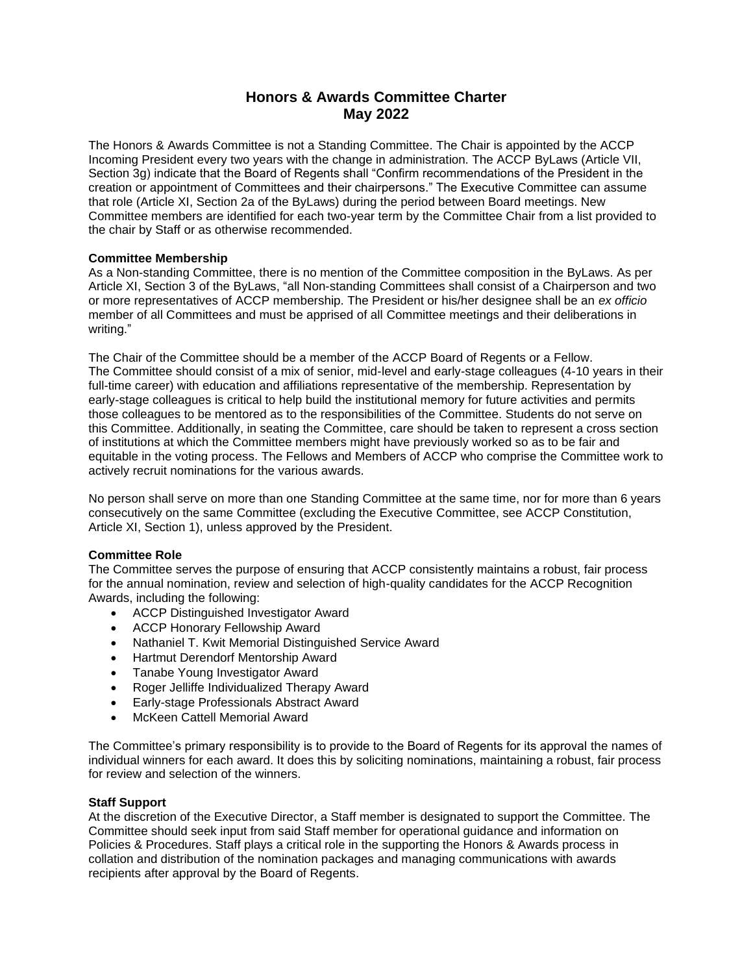# **Honors & Awards Committee Charter May 2022**

The Honors & Awards Committee is not a Standing Committee. The Chair is appointed by the ACCP Incoming President every two years with the change in administration. The ACCP ByLaws (Article VII, Section 3g) indicate that the Board of Regents shall "Confirm recommendations of the President in the creation or appointment of Committees and their chairpersons." The Executive Committee can assume that role (Article XI, Section 2a of the ByLaws) during the period between Board meetings. New Committee members are identified for each two-year term by the Committee Chair from a list provided to the chair by Staff or as otherwise recommended.

## **Committee Membership**

As a Non-standing Committee, there is no mention of the Committee composition in the ByLaws. As per Article XI, Section 3 of the ByLaws, "all Non-standing Committees shall consist of a Chairperson and two or more representatives of ACCP membership. The President or his/her designee shall be an *ex officio* member of all Committees and must be apprised of all Committee meetings and their deliberations in writing."

The Chair of the Committee should be a member of the ACCP Board of Regents or a Fellow. The Committee should consist of a mix of senior, mid-level and early-stage colleagues (4-10 years in their full-time career) with education and affiliations representative of the membership. Representation by early-stage colleagues is critical to help build the institutional memory for future activities and permits those colleagues to be mentored as to the responsibilities of the Committee. Students do not serve on this Committee. Additionally, in seating the Committee, care should be taken to represent a cross section of institutions at which the Committee members might have previously worked so as to be fair and equitable in the voting process. The Fellows and Members of ACCP who comprise the Committee work to actively recruit nominations for the various awards.

No person shall serve on more than one Standing Committee at the same time, nor for more than 6 years consecutively on the same Committee (excluding the Executive Committee, see ACCP Constitution, Article XI, Section 1), unless approved by the President.

## **Committee Role**

The Committee serves the purpose of ensuring that ACCP consistently maintains a robust, fair process for the annual nomination, review and selection of high-quality candidates for the ACCP Recognition Awards, including the following:

- ACCP Distinguished Investigator Award
- ACCP Honorary Fellowship Award
- Nathaniel T. Kwit Memorial Distinguished Service Award
- Hartmut Derendorf Mentorship Award
- Tanabe Young Investigator Award
- Roger Jelliffe Individualized Therapy Award
- Early-stage Professionals Abstract Award
- McKeen Cattell Memorial Award

The Committee's primary responsibility is to provide to the Board of Regents for its approval the names of individual winners for each award. It does this by soliciting nominations, maintaining a robust, fair process for review and selection of the winners.

### **Staff Support**

At the discretion of the Executive Director, a Staff member is designated to support the Committee. The Committee should seek input from said Staff member for operational guidance and information on Policies & Procedures. Staff plays a critical role in the supporting the Honors & Awards process in collation and distribution of the nomination packages and managing communications with awards recipients after approval by the Board of Regents.